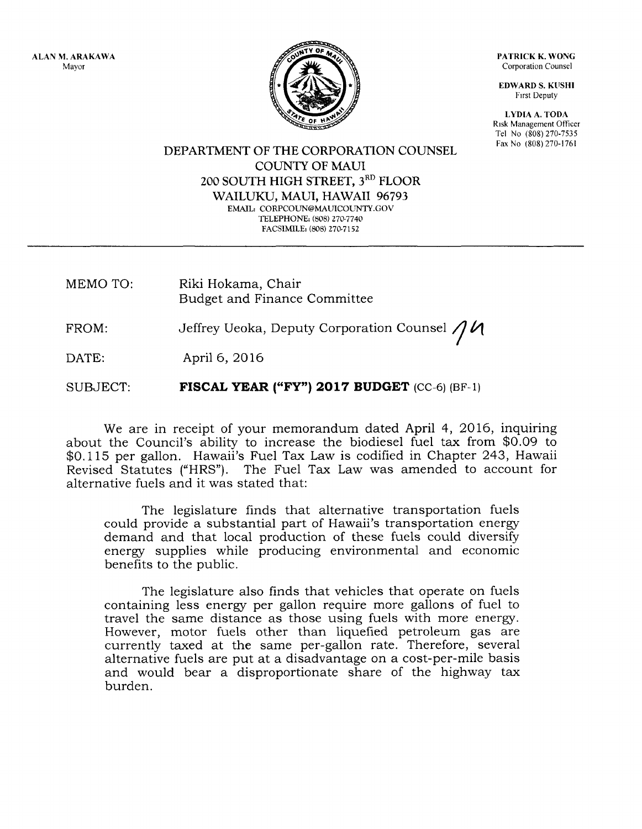ALAN M. ARAKAWA Mayor



PATRICK K. WONG Corporation Counsel

EDWARD S. KUSHI Frrst Deputy

LYDIA A, TODA Risk Management Officer Tel No (808) 270-7535<br>Fax No (808) 270-1761

DEPARTMENT OF THE CORPORATION COUNSEL **COUNTY OF MAUI** 200 SOUTH HIGH STREET, 3<sup>RD</sup> FLOOR WAILUKU, MAUI, HAWAII 96793 EMAIL: CORPCOUN@MAUICOUNTY.GOV TELEPHONE: (808) 270-7740 FACSIMILE: (808) 270-7152

MEMO TO: Riki Hokama, Chair Budget and Finance Committee

FROM: Jeffrey Ueoka, Deputy Corporation Counsel  $\bigwedge\!\!\mathcal{U}$ /

DATE: April 6, 2016

SUBJECT: rIscAL YEAR ("FY") 2Ol7 BUDGET (cc-6) (BF-l)

We are in receipt of your memorandum dated April 4, 2016, inquiring about the Council's ability to increase the biodiesel fuel tax from \$O.Og to \$0.115 per gallon. Hawaii's Fuel Tax Law is codified in Chapter 243, Hawaii Revised Statutes ("HRS"). The Fuel Tax Law was amended to account for alternative fuels and it was stated that:

The legislature finds that alternative transportation fuels could provide a substantial part of Hawaii's transportation energy demand and that local production of these fuels could diversify energy supplies while producing environmental and economic benefits to the public.

The legislature also finds that vehicles that operate on fuels containing less energy per gallon require more gallons of fuel to travel the same distance as those using fuels with more energy. However, motor fuels other than liquefied petroleum gas are currently taxed at the same per-gallon rate. Therefore, several alternative fuels are put at a disadvantage on a cost-per-mile basis and would bear a disproportionate share of the highway tax burden.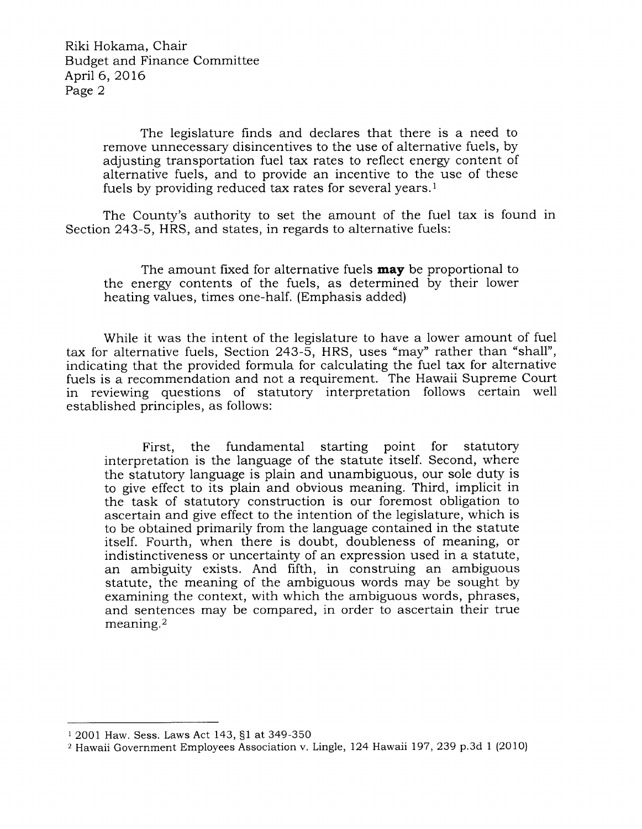The legislature finds and declares that there is a need to remove unnecessary disincentives to the use of alternative fuels, by adjusting transportation fuel tax rates to reflect energy content of alternative fuels, and to provide an incentive to the use of these fuels by providing reduced tax rates for several years.<sup>1</sup>

The County's authority to set the amount of the fuel tax is found in Section 243-5, HRS, and states, in regards to alternative fuels:

The amount fixed for alternative fuels **may** be proportional to the energy contents of the fuels, as determined by their lower heating values, times one-half. (Emphasis added)

While it was the intent of the legislature to have a lower amount of fuel tax for alternative fuels, Section 243-5, HRS, uses "may" rather than "shall", indicating that the provided formula for calculating the fuel tax for alternative fuels is a recommendation and not a requirement. The Hawaii Supreme Court in reviewing questions of statutory interpretation follows certain well established principles, as follows:

First, the fundamental starting point for statutory interpretation is the language of the statute itself. Second, where the statutory language is plain and unambiguous, our sole duty is to give effect to its plain and obvious meaning. Third, implicit in the task of statutory construction is our foremost obligation to ascertain and give effect to the intention of the legislature, which is to be obtained primarily from the language contained in the statute itself. Fourth, when there is doubt, doubleness of meaning, or indistinctiveness or uncertainty of an expression used in a statute, an ambiguity exists. And fifth, in construing an ambiguous statute, the meaning of the ambiguous words may be sought by examining the context, with which the ambiguous words, phrases, and sentences may be compared, in order to ascertain their true meaning.2

<sup>1</sup>2001 Haw. Sess. Laws Act 143, S1 at 349-350

<sup>&</sup>lt;sup>2</sup> Hawaii Government Employees Association v. Lingle, 124 Hawaii 197, 239 p.3d 1 (2010)